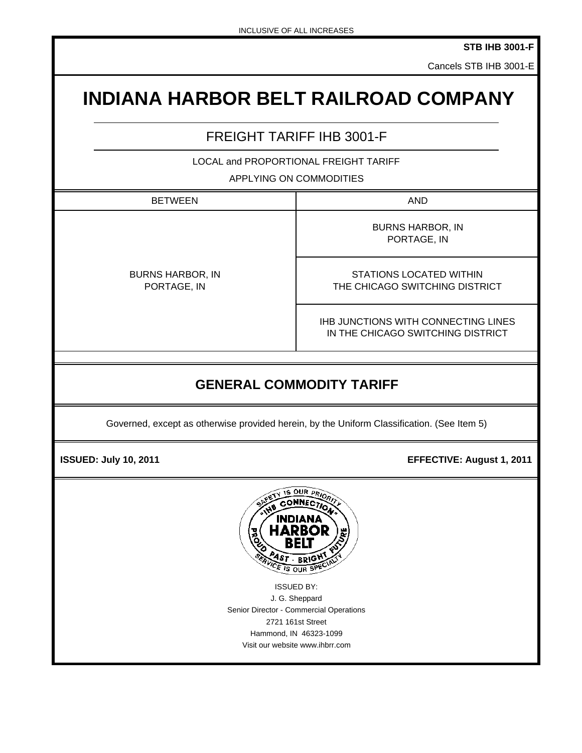**STB IHB 3001-F**

Cancels STB IHB 3001-E

# **INDIANA HARBOR BELT RAILROAD COMPANY**

## FREIGHT TARIFF IHB 3001-F

LOCAL and PROPORTIONAL FREIGHT TARIFF

APPLYING ON COMMODITIES

BETWEEN NOTE: NOTE: NOTE: NOTE: NOTE: NOTE: NOTE: NOTE: NOTE: NOTE: NOTE: NOTE: NOTE: NOTE: NOTE: NO

BURNS HARBOR, IN PORTAGE, IN

PORTAGE, IN BURNS HARBOR, IN

STATIONS LOCATED WITHIN THE CHICAGO SWITCHING DISTRICT

IHB JUNCTIONS WITH CONNECTING LINES IN THE CHICAGO SWITCHING DISTRICT

# **GENERAL COMMODITY TARIFF**

Governed, except as otherwise provided herein, by the Uniform Classification. (See Item 5)

 **ISSUED: July 10, 2011 EFFECTIVE: August 1, 2011** 



ISSUED BY: J. G. Sheppard Senior Director - Commercial Operations 2721 161st Street Hammond, IN 46323-1099 Visit our website www.ihbrr.com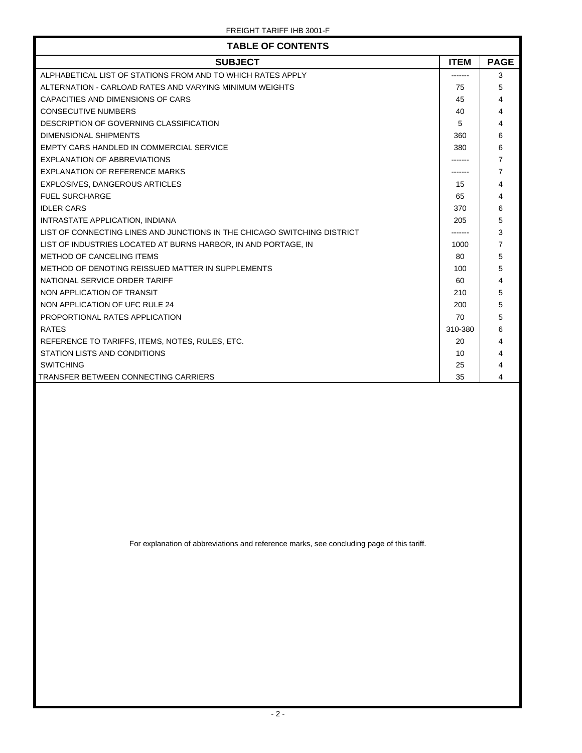| <b>TABLE OF CONTENTS</b>                                                 |             |                |  |  |  |
|--------------------------------------------------------------------------|-------------|----------------|--|--|--|
| <b>SUBJECT</b>                                                           | <b>ITEM</b> | <b>PAGE</b>    |  |  |  |
| ALPHABETICAL LIST OF STATIONS FROM AND TO WHICH RATES APPLY              |             | 3              |  |  |  |
| ALTERNATION - CARLOAD RATES AND VARYING MINIMUM WEIGHTS                  | 75          | 5              |  |  |  |
| CAPACITIES AND DIMENSIONS OF CARS                                        | 45          | 4              |  |  |  |
| <b>CONSECUTIVE NUMBERS</b>                                               | 40          | 4              |  |  |  |
| DESCRIPTION OF GOVERNING CLASSIFICATION                                  | 5           | 4              |  |  |  |
| DIMENSIONAL SHIPMENTS                                                    | 360         | 6              |  |  |  |
| EMPTY CARS HANDLED IN COMMERCIAL SERVICE                                 | 380         | 6              |  |  |  |
| EXPLANATION OF ABBREVIATIONS                                             |             | 7              |  |  |  |
| <b>EXPLANATION OF REFERENCE MARKS</b>                                    |             | $\overline{7}$ |  |  |  |
| <b>EXPLOSIVES, DANGEROUS ARTICLES</b>                                    | 15          | 4              |  |  |  |
| <b>FUEL SURCHARGE</b>                                                    | 65          | 4              |  |  |  |
| <b>IDLER CARS</b>                                                        | 370         | 6              |  |  |  |
| INTRASTATE APPLICATION, INDIANA                                          | 205         | 5              |  |  |  |
| LIST OF CONNECTING LINES AND JUNCTIONS IN THE CHICAGO SWITCHING DISTRICT |             | 3              |  |  |  |
| LIST OF INDUSTRIES LOCATED AT BURNS HARBOR, IN AND PORTAGE, IN           | 1000        | 7              |  |  |  |
| METHOD OF CANCELING ITEMS                                                | 80          | 5              |  |  |  |
| METHOD OF DENOTING REISSUED MATTER IN SUPPLEMENTS                        | 100         | 5              |  |  |  |
| NATIONAL SERVICE ORDER TARIFF                                            | 60          | 4              |  |  |  |
| NON APPLICATION OF TRANSIT                                               | 210         | 5              |  |  |  |
| NON APPLICATION OF UFC RULE 24                                           | 200         | 5              |  |  |  |
| PROPORTIONAL RATES APPLICATION                                           | 70          | 5              |  |  |  |
| <b>RATES</b>                                                             | 310-380     | 6              |  |  |  |
| REFERENCE TO TARIFFS, ITEMS, NOTES, RULES, ETC.                          | 20          | 4              |  |  |  |
| STATION LISTS AND CONDITIONS                                             | 10          | 4              |  |  |  |
| <b>SWITCHING</b>                                                         | 25          | 4              |  |  |  |
| <b>TRANSFER BETWEEN CONNECTING CARRIERS</b>                              | 35          | 4              |  |  |  |

For explanation of abbreviations and reference marks, see concluding page of this tariff.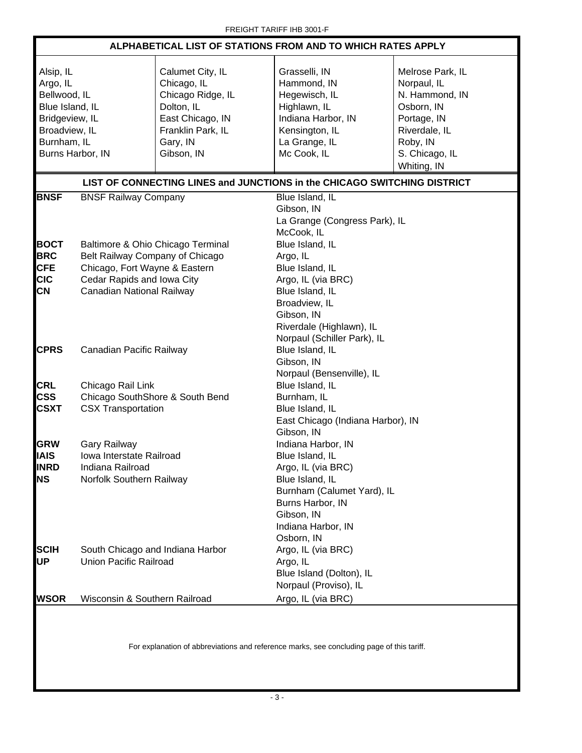| ALPHABETICAL LIST OF STATIONS FROM AND TO WHICH RATES APPLY                                                                    |                                                                                                                                                                  |                                                                                                                                       |                                                                                                                                                                                    |                                                                                                                                              |  |
|--------------------------------------------------------------------------------------------------------------------------------|------------------------------------------------------------------------------------------------------------------------------------------------------------------|---------------------------------------------------------------------------------------------------------------------------------------|------------------------------------------------------------------------------------------------------------------------------------------------------------------------------------|----------------------------------------------------------------------------------------------------------------------------------------------|--|
| Alsip, IL<br>Argo, IL<br>Bellwood, IL<br>Blue Island, IL<br>Bridgeview, IL<br>Broadview, IL<br>Burnham, IL<br>Burns Harbor, IN |                                                                                                                                                                  | Calumet City, IL<br>Chicago, IL<br>Chicago Ridge, IL<br>Dolton, IL<br>East Chicago, IN<br>Franklin Park, IL<br>Gary, IN<br>Gibson, IN | Grasselli, IN<br>Hammond, IN<br>Hegewisch, IL<br>Highlawn, IL<br>Indiana Harbor, IN<br>Kensington, IL<br>La Grange, IL<br>Mc Cook, IL                                              | Melrose Park, IL<br>Norpaul, IL<br>N. Hammond, IN<br>Osborn, IN<br>Portage, IN<br>Riverdale, IL<br>Roby, IN<br>S. Chicago, IL<br>Whiting, IN |  |
|                                                                                                                                |                                                                                                                                                                  |                                                                                                                                       | LIST OF CONNECTING LINES and JUNCTIONS in the CHICAGO SWITCHING DISTRICT                                                                                                           |                                                                                                                                              |  |
| <b>BNSF</b>                                                                                                                    | <b>BNSF Railway Company</b>                                                                                                                                      |                                                                                                                                       | Blue Island, IL<br>Gibson, IN<br>La Grange (Congress Park), IL<br>McCook, IL                                                                                                       |                                                                                                                                              |  |
| <b>BOCT</b><br><b>BRC</b><br><b>CFE</b><br><b>CIC</b><br><b>CN</b>                                                             | Baltimore & Ohio Chicago Terminal<br>Belt Railway Company of Chicago<br>Chicago, Fort Wayne & Eastern<br>Cedar Rapids and Iowa City<br>Canadian National Railway |                                                                                                                                       | Blue Island, IL<br>Argo, IL<br>Blue Island, IL<br>Argo, IL (via BRC)<br>Blue Island, IL<br>Broadview, IL<br>Gibson, IN<br>Riverdale (Highlawn), IL                                 |                                                                                                                                              |  |
| <b>CPRS</b>                                                                                                                    | Canadian Pacific Railway                                                                                                                                         |                                                                                                                                       | Norpaul (Schiller Park), IL<br>Blue Island, IL<br>Gibson, IN<br>Norpaul (Bensenville), IL                                                                                          |                                                                                                                                              |  |
| CRL<br><b>CSS</b><br><b>CSXT</b>                                                                                               | Chicago Rail Link<br>Chicago SouthShore & South Bend<br><b>CSX Transportation</b>                                                                                |                                                                                                                                       | Blue Island, IL<br>Burnham, IL<br>Blue Island, IL<br>East Chicago (Indiana Harbor), IN<br>Gibson, IN                                                                               |                                                                                                                                              |  |
| <b>GRW</b><br><b>IAIS</b><br><b>INRD</b><br><b>NS</b>                                                                          | <b>Gary Railway</b><br>Iowa Interstate Railroad<br>Indiana Railroad<br>Norfolk Southern Railway                                                                  |                                                                                                                                       | Indiana Harbor, IN<br>Blue Island, IL<br>Argo, IL (via BRC)<br>Blue Island, IL<br>Burnham (Calumet Yard), IL<br>Burns Harbor, IN<br>Gibson, IN<br>Indiana Harbor, IN<br>Osborn, IN |                                                                                                                                              |  |
| <b>SCIH</b><br>UР                                                                                                              | South Chicago and Indiana Harbor<br><b>Union Pacific Railroad</b>                                                                                                |                                                                                                                                       | Argo, IL (via BRC)<br>Argo, IL<br>Blue Island (Dolton), IL<br>Norpaul (Proviso), IL                                                                                                |                                                                                                                                              |  |
| <b>WSOR</b>                                                                                                                    | Wisconsin & Southern Railroad                                                                                                                                    |                                                                                                                                       | Argo, IL (via BRC)                                                                                                                                                                 |                                                                                                                                              |  |
| For explanation of abbreviations and reference marks, see concluding page of this tariff.                                      |                                                                                                                                                                  |                                                                                                                                       |                                                                                                                                                                                    |                                                                                                                                              |  |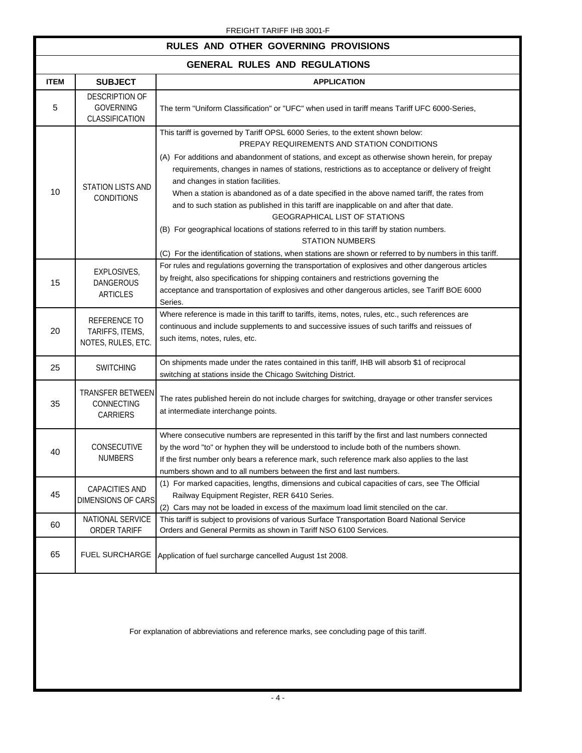### FREIGHT TARIFF IHB 3001-F

### **RULES AND OTHER GOVERNING PROVISIONS**

### **GENERAL RULES AND REGULATIONS**

| GENERAL RULES AND REGULATIONS |                                                             |                                                                                                                                                                                                                                                                                                                                                                                                                                                                                                                                                                                                                                                                                                                                                                                                                                                   |  |  |
|-------------------------------|-------------------------------------------------------------|---------------------------------------------------------------------------------------------------------------------------------------------------------------------------------------------------------------------------------------------------------------------------------------------------------------------------------------------------------------------------------------------------------------------------------------------------------------------------------------------------------------------------------------------------------------------------------------------------------------------------------------------------------------------------------------------------------------------------------------------------------------------------------------------------------------------------------------------------|--|--|
| <b>ITEM</b>                   | <b>SUBJECT</b>                                              | <b>APPLICATION</b>                                                                                                                                                                                                                                                                                                                                                                                                                                                                                                                                                                                                                                                                                                                                                                                                                                |  |  |
| $\sqrt{5}$                    | <b>DESCRIPTION OF</b><br><b>GOVERNING</b><br>CLASSIFICATION | The term "Uniform Classification" or "UFC" when used in tariff means Tariff UFC 6000-Series,                                                                                                                                                                                                                                                                                                                                                                                                                                                                                                                                                                                                                                                                                                                                                      |  |  |
| 10                            | <b>STATION LISTS AND</b><br><b>CONDITIONS</b>               | This tariff is governed by Tariff OPSL 6000 Series, to the extent shown below:<br>PREPAY REQUIREMENTS AND STATION CONDITIONS<br>(A) For additions and abandonment of stations, and except as otherwise shown herein, for prepay<br>requirements, changes in names of stations, restrictions as to acceptance or delivery of freight<br>and changes in station facilities.<br>When a station is abandoned as of a date specified in the above named tariff, the rates from<br>and to such station as published in this tariff are inapplicable on and after that date.<br><b>GEOGRAPHICAL LIST OF STATIONS</b><br>(B) For geographical locations of stations referred to in this tariff by station numbers.<br><b>STATION NUMBERS</b><br>(C) For the identification of stations, when stations are shown or referred to by numbers in this tariff. |  |  |
| 15                            | EXPLOSIVES,<br>DANGEROUS<br>ARTICLES                        | For rules and regulations governing the transportation of explosives and other dangerous articles<br>by freight, also specifications for shipping containers and restrictions governing the<br>acceptance and transportation of explosives and other dangerous articles, see Tariff BOE 6000<br>Series.                                                                                                                                                                                                                                                                                                                                                                                                                                                                                                                                           |  |  |
| 20                            | REFERENCE TO<br>TARIFFS, ITEMS,<br>NOTES, RULES, ETC.       | Where reference is made in this tariff to tariffs, items, notes, rules, etc., such references are<br>continuous and include supplements to and successive issues of such tariffs and reissues of<br>such items, notes, rules, etc.                                                                                                                                                                                                                                                                                                                                                                                                                                                                                                                                                                                                                |  |  |
| 25                            | <b>SWITCHING</b>                                            | On shipments made under the rates contained in this tariff, IHB will absorb \$1 of reciprocal<br>switching at stations inside the Chicago Switching District.                                                                                                                                                                                                                                                                                                                                                                                                                                                                                                                                                                                                                                                                                     |  |  |
| 35                            | TRANSFER BETWEEN<br>CONNECTING<br>CARRIERS                  | The rates published herein do not include charges for switching, drayage or other transfer services<br>at intermediate interchange points.                                                                                                                                                                                                                                                                                                                                                                                                                                                                                                                                                                                                                                                                                                        |  |  |
| 40                            | CONSECUTIVE<br><b>NUMBERS</b>                               | Where consecutive numbers are represented in this tariff by the first and last numbers connected<br>by the word "to" or hyphen they will be understood to include both of the numbers shown.<br>If the first number only bears a reference mark, such reference mark also applies to the last<br>numbers shown and to all numbers between the first and last numbers.                                                                                                                                                                                                                                                                                                                                                                                                                                                                             |  |  |
| 45                            | CAPACITIES AND<br>DIMENSIONS OF CARS                        | (1) For marked capacities, lengths, dimensions and cubical capacities of cars, see The Official<br>Railway Equipment Register, RER 6410 Series.<br>(2) Cars may not be loaded in excess of the maximum load limit stenciled on the car.                                                                                                                                                                                                                                                                                                                                                                                                                                                                                                                                                                                                           |  |  |
| 60                            | NATIONAL SERVICE<br><b>ORDER TARIFF</b>                     | This tariff is subject to provisions of various Surface Transportation Board National Service<br>Orders and General Permits as shown in Tariff NSO 6100 Services.                                                                                                                                                                                                                                                                                                                                                                                                                                                                                                                                                                                                                                                                                 |  |  |
| 65                            | <b>FUEL SURCHARGE</b>                                       | Application of fuel surcharge cancelled August 1st 2008.                                                                                                                                                                                                                                                                                                                                                                                                                                                                                                                                                                                                                                                                                                                                                                                          |  |  |
|                               |                                                             | For explanation of abbreviations and reference marks, see concluding page of this tariff.                                                                                                                                                                                                                                                                                                                                                                                                                                                                                                                                                                                                                                                                                                                                                         |  |  |

 $-4-$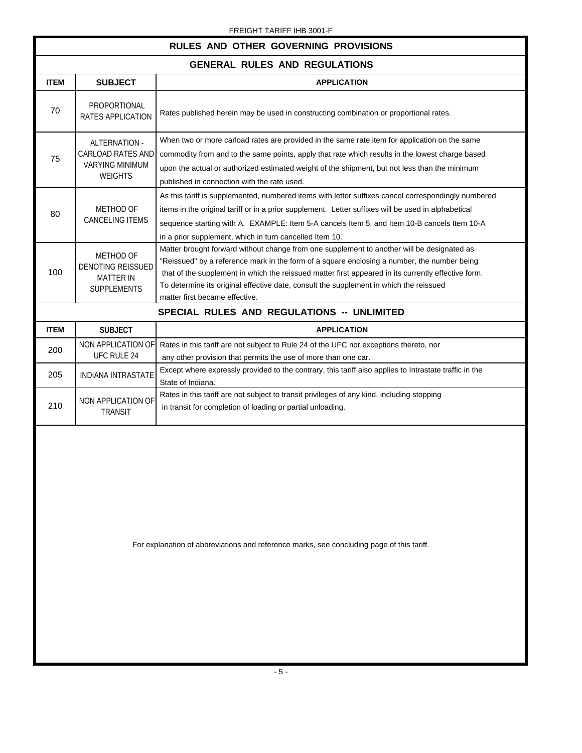#### FREIGHT TARIFF IHB 3001-F

#### **RULES AND OTHER GOVERNING PROVISIONS GENERAL RULES AND REGULATIONS ITEM SUBJECT APPLICATION**  Rates published herein may be used in constructing combination or proportional rates. When two or more carload rates are provided in the same rate item for application on the same commodity from and to the same points, apply that rate which results in the lowest charge based upon the actual or authorized estimated weight of the shipment, but not less than the minimum published in connection with the rate used. As this tariff is supplemented, numbered items with letter suffixes cancel correspondingly numbered items in the original tariff or in a prior supplement. Letter suffixes will be used in alphabetical sequence starting with A. EXAMPLE: Item 5-A cancels Item 5, and Item 10-B cancels Item 10-A in a prior supplement, which in turn cancelled Item 10. Matter brought forward without change from one supplement to another will be designated as "Reissued" by a reference mark in the form of a square enclosing a number, the number being that of the supplement in which the reissued matter first appeared in its currently effective form. To determine its original effective date, consult the supplement in which the reissued matter first became effective. **SPECIAL RULES AND REGULATIONS -- UNLIMITED ITEM** SUBJECT **APPLICATION**  Rates in this tariff are not subject to Rule 24 of the UFC nor exceptions thereto, nor any other provision that permits the use of more than one car. Except where expressly provided to the contrary, this tariff also applies to Intrastate traffic in the State of Indiana. Rates in this tariff are not subject to transit privileges of any kind, including stopping in transit for completion of loading or partial unloading. METHOD OF DENOTING REISSUED MATTER IN SUPPLEMENTS 210 100 200 205 NON APPLICATION OF UFC RULE 24 INDIANA INTRASTATE NON APPLICATION OF TRANSIT 70 75 80 PROPORTIONAL RATES APPLICATION ALTERNATION - CARLOAD RATES AND VARYING MINIMUM WEIGHTS METHOD OF CANCELING ITEMS

For explanation of abbreviations and reference marks, see concluding page of this tariff.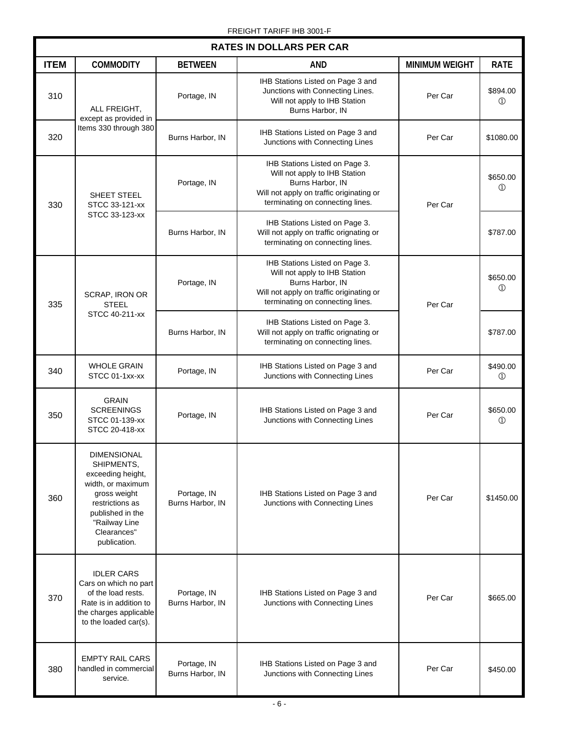| <b>RATES IN DOLLARS PER CAR</b> |                                                                                                                                                                                   |                                 |                                                                                                                                                                     |                       |                            |
|---------------------------------|-----------------------------------------------------------------------------------------------------------------------------------------------------------------------------------|---------------------------------|---------------------------------------------------------------------------------------------------------------------------------------------------------------------|-----------------------|----------------------------|
| <b>ITEM</b>                     | <b>COMMODITY</b>                                                                                                                                                                  | <b>BETWEEN</b>                  | <b>AND</b>                                                                                                                                                          | <b>MINIMUM WEIGHT</b> | <b>RATE</b>                |
| 310                             | ALL FREIGHT,<br>except as provided in<br>Items 330 through 380                                                                                                                    | Portage, IN                     | IHB Stations Listed on Page 3 and<br>Junctions with Connecting Lines.<br>Will not apply to IHB Station<br>Burns Harbor, IN                                          | Per Car               | \$894.00<br>$\circled{1}$  |
| 320                             |                                                                                                                                                                                   | Burns Harbor, IN                | IHB Stations Listed on Page 3 and<br>Junctions with Connecting Lines                                                                                                | Per Car               | \$1080.00                  |
| 330                             | SHEET STEEL<br>STCC 33-121-xx                                                                                                                                                     | Portage, IN                     | IHB Stations Listed on Page 3.<br>Will not apply to IHB Station<br>Burns Harbor, IN<br>Will not apply on traffic originating or<br>terminating on connecting lines. | Per Car               | \$650.00<br>$^\circledR$   |
|                                 | STCC 33-123-xx                                                                                                                                                                    | Burns Harbor, IN                | IHB Stations Listed on Page 3.<br>Will not apply on traffic orignating or<br>terminating on connecting lines.                                                       |                       | \$787.00                   |
| 335                             | SCRAP, IRON OR<br><b>STEEL</b><br>STCC 40-211-xx                                                                                                                                  | Portage, IN                     | IHB Stations Listed on Page 3.<br>Will not apply to IHB Station<br>Burns Harbor, IN<br>Will not apply on traffic originating or<br>terminating on connecting lines. | Per Car               | \$650.00<br>$^{\circledR}$ |
|                                 |                                                                                                                                                                                   | Burns Harbor, IN                | IHB Stations Listed on Page 3.<br>Will not apply on traffic orignating or<br>terminating on connecting lines.                                                       |                       | \$787.00                   |
| 340                             | <b>WHOLE GRAIN</b><br>STCC 01-1xx-xx                                                                                                                                              | Portage, IN                     | IHB Stations Listed on Page 3 and<br>Junctions with Connecting Lines                                                                                                | Per Car               | \$490.00<br>$^{\circledR}$ |
| 350                             | <b>GRAIN</b><br><b>SCREENINGS</b><br>STCC 01-139-xx<br>STCC 20-418-xx                                                                                                             | Portage, IN                     | IHB Stations Listed on Page 3 and<br>Junctions with Connecting Lines                                                                                                | Per Car               | \$650.00<br>$\circled{1}$  |
| 360                             | <b>DIMENSIONAL</b><br>SHIPMENTS,<br>exceeding height,<br>width, or maximum<br>gross weight<br>restrictions as<br>published in the<br>"Railway Line<br>Clearances"<br>publication. | Portage, IN<br>Burns Harbor, IN | IHB Stations Listed on Page 3 and<br>Junctions with Connecting Lines                                                                                                | Per Car               | \$1450.00                  |
| 370                             | <b>IDLER CARS</b><br>Cars on which no part<br>of the load rests.<br>Rate is in addition to<br>the charges applicable<br>to the loaded car(s).                                     | Portage, IN<br>Burns Harbor, IN | IHB Stations Listed on Page 3 and<br>Junctions with Connecting Lines                                                                                                | Per Car               | \$665.00                   |
| 380                             | <b>EMPTY RAIL CARS</b><br>handled in commercial<br>service.                                                                                                                       | Portage, IN<br>Burns Harbor, IN | IHB Stations Listed on Page 3 and<br>Junctions with Connecting Lines                                                                                                | Per Car               | \$450.00                   |